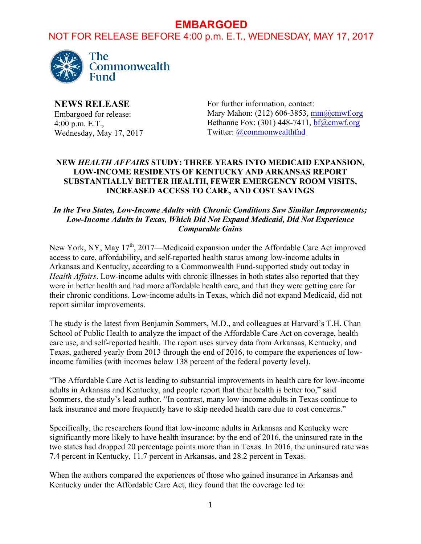# **EMBARGOED**

## NOT FOR RELEASE BEFORE 4:00 p.m. E.T., WEDNESDAY, MAY 17, 2017



**NEWS RELEASE** Embargoed for release: 4:00 p.m. E.T., Wednesday, May 17, 2017

For further information, contact: Mary Mahon: (212) 606-3853, mm@cmwf.org Bethanne Fox: (301) 448-7411, bf@cmwf.org Twitter: @commonwealthfnd

#### **NEW** *HEALTH AFFAIRS* **STUDY: THREE YEARS INTO MEDICAID EXPANSION, LOW-INCOME RESIDENTS OF KENTUCKY AND ARKANSAS REPORT SUBSTANTIALLY BETTER HEALTH, FEWER EMERGENCY ROOM VISITS, INCREASED ACCESS TO CARE, AND COST SAVINGS**

#### *In the Two States, Low-Income Adults with Chronic Conditions Saw Similar Improvements; Low-Income Adults in Texas, Which Did Not Expand Medicaid, Did Not Experience Comparable Gains*

New York, NY, May 17<sup>th</sup>, 2017—Medicaid expansion under the Affordable Care Act improved access to care, affordability, and self-reported health status among low-income adults in Arkansas and Kentucky, according to a Commonwealth Fund-supported study out today in *Health Affairs*. Low-income adults with chronic illnesses in both states also reported that they were in better health and had more affordable health care, and that they were getting care for their chronic conditions. Low-income adults in Texas, which did not expand Medicaid, did not report similar improvements.

The study is the latest from Benjamin Sommers, M.D., and colleagues at Harvard's T.H. Chan School of Public Health to analyze the impact of the Affordable Care Act on coverage, health care use, and self-reported health. The report uses survey data from Arkansas, Kentucky, and Texas, gathered yearly from 2013 through the end of 2016, to compare the experiences of lowincome families (with incomes below 138 percent of the federal poverty level).

"The Affordable Care Act is leading to substantial improvements in health care for low-income adults in Arkansas and Kentucky, and people report that their health is better too," said Sommers, the study's lead author. "In contrast, many low-income adults in Texas continue to lack insurance and more frequently have to skip needed health care due to cost concerns."

Specifically, the researchers found that low-income adults in Arkansas and Kentucky were significantly more likely to have health insurance: by the end of 2016, the uninsured rate in the two states had dropped 20 percentage points more than in Texas. In 2016, the uninsured rate was 7.4 percent in Kentucky, 11.7 percent in Arkansas, and 28.2 percent in Texas.

When the authors compared the experiences of those who gained insurance in Arkansas and Kentucky under the Affordable Care Act, they found that the coverage led to: